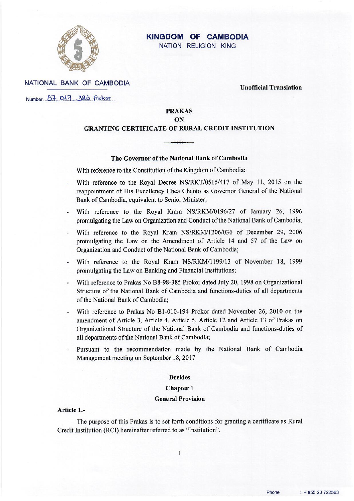

# **KINGDOM OF CAMBODIA**

NATION RELIGION KING

NATIONAL BANK OF CAMBODIA

**Unofficial Translation** 

Number B7 017, 326 Proker

**PRAKAS** 

#### ON

### **GRANTING CERTIFICATE OF RURAL CREDIT INSTITUTION**

#### The Governor of the National Bank of Cambodia

- With reference to the Constitution of the Kingdom of Cambodia;
- With reference to the Royal Decree NS/RKT/0515/417 of May 11, 2015 on the reappointment of His Excellency Chea Chanto as Governor General of the National Bank of Cambodia, equivalent to Senior Minister;
- With reference to the Royal Kram NS/RKM/0196/27 of January 26, 1996 promulgating the Law on Organization and Conduct of the National Bank of Cambodia;
- With reference to the Royal Kram NS/RKM/1206/036 of December 29, 2006 promulgating the Law on the Amendment of Article 14 and 57 of the Law on Organization and Conduct of the National Bank of Cambodia;
- With reference to the Royal Kram NS/RKM/1199/13 of November 18, 1999 promulgating the Law on Banking and Financial Institutions;
- With reference to Prakas No B8-98-385 Prokor dated July 20, 1998 on Organizational Structure of the National Bank of Cambodia and functions-duties of all departments of the National Bank of Cambodia:
- With reference to Prakas No B1-010-194 Prokor dated November 26, 2010 on the amendment of Article 3, Article 4, Article 5, Article 12 and Article 13 of Prakas on Organizational Structure of the National Bank of Cambodia and functions-duties of all departments of the National Bank of Cambodia;
- Pursuant to the recommendation made by the National Bank of Cambodia Management meeting on September 18, 2017

#### **Decides**

#### **Chapter 1**

#### **General Provision**

#### Article 1.-

The purpose of this Prakas is to set forth conditions for granting a certificate as Rural Credit Institution (RCI) hereinafter referred to as "Institution".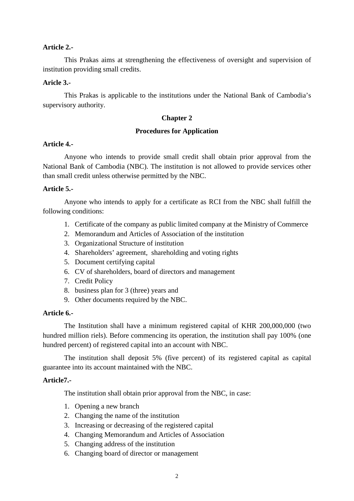#### **Article 2.-**

This Prakas aims at strengthening the effectiveness of oversight and supervision of institution providing small credits.

## **Aricle 3.-**

This Prakas is applicable to the institutions under the National Bank of Cambodia's supervisory authority.

### **Chapter 2**

#### **Procedures for Application**

#### **Article 4.-**

Anyone who intends to provide small credit shall obtain prior approval from the National Bank of Cambodia (NBC). The institution is not allowed to provide services other than small credit unless otherwise permitted by the NBC.

#### **Article 5.-**

Anyone who intends to apply for a certificate as RCI from the NBC shall fulfill the following conditions:

- 1. Certificate of the company as public limited company at the Ministry of Commerce
- 2. Memorandum and Articles of Association of the institution
- 3. Organizational Structure of institution
- 4. Shareholders' agreement, shareholding and voting rights
- 5. Document certifying capital
- 6. CV of shareholders, board of directors and management
- 7. Credit Policy
- 8. business plan for 3 (three) years and
- 9. Other documents required by the NBC.

## **Article 6.-**

The Institution shall have a minimum registered capital of KHR 200,000,000 (two hundred million riels). Before commencing its operation, the institution shall pay 100% (one hundred percent) of registered capital into an account with NBC.

The institution shall deposit 5% (five percent) of its registered capital as capital guarantee into its account maintained with the NBC.

## **Article7.-**

The institution shall obtain prior approval from the NBC, in case:

- 1. Opening a new branch
- 2. Changing the name of the institution
- 3. Increasing or decreasing of the registered capital
- 4. Changing Memorandum and Articles of Association
- 5. Changing address of the institution
- 6. Changing board of director or management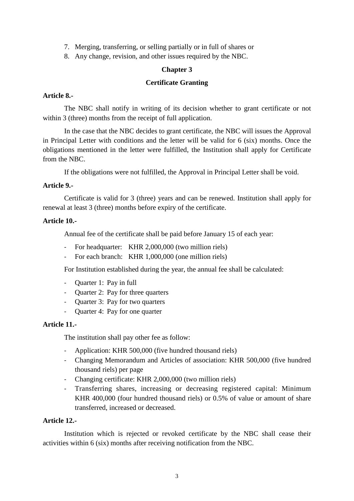- 7. Merging, transferring, or selling partially or in full of shares or
- 8. Any change, revision, and other issues required by the NBC.

## **Chapter 3**

# **Certificate Granting**

## **Article 8.-**

The NBC shall notify in writing of its decision whether to grant certificate or not within 3 (three) months from the receipt of full application.

In the case that the NBC decides to grant certificate, the NBC will issues the Approval in Principal Letter with conditions and the letter will be valid for 6 (six) months. Once the obligations mentioned in the letter were fulfilled, the Institution shall apply for Certificate from the NBC.

If the obligations were not fulfilled, the Approval in Principal Letter shall be void.

## **Article 9.-**

Certificate is valid for 3 (three) years and can be renewed. Institution shall apply for renewal at least 3 (three) months before expiry of the certificate.

## **Article 10.-**

Annual fee of the certificate shall be paid before January 15 of each year:

- For headquarter: KHR 2,000,000 (two million riels)
- For each branch: KHR 1,000,000 (one million riels)

For Institution established during the year, the annual fee shall be calculated:

- Quarter 1: Pay in full
- Quarter 2: Pay for three quarters
- Quarter 3: Pay for two quarters
- Quarter 4: Pay for one quarter

## **Article 11.-**

The institution shall pay other fee as follow:

- Application: KHR 500,000 (five hundred thousand riels)
- Changing Memorandum and Articles of association: KHR 500,000 (five hundred thousand riels) per page
- Changing certificate: KHR 2,000,000 (two million riels)
- Transferring shares, increasing or decreasing registered capital: Minimum KHR 400,000 (four hundred thousand riels) or 0.5% of value or amount of share transferred, increased or decreased.

## **Article 12.-**

Institution which is rejected or revoked certificate by the NBC shall cease their activities within 6 (six) months after receiving notification from the NBC.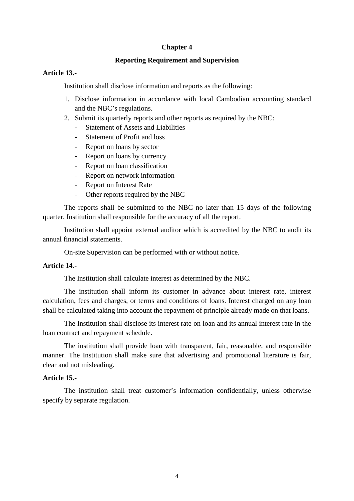## **Chapter 4**

#### **Reporting Requirement and Supervision**

### **Article 13.-**

Institution shall disclose information and reports as the following:

- 1. Disclose information in accordance with local Cambodian accounting standard and the NBC's regulations.
- 2. Submit its quarterly reports and other reports as required by the NBC:
	- Statement of Assets and Liabilities
	- Statement of Profit and loss
	- Report on loans by sector
	- Report on loans by currency
	- Report on loan classification
	- Report on network information
	- Report on Interest Rate
	- Other reports required by the NBC

The reports shall be submitted to the NBC no later than 15 days of the following quarter. Institution shall responsible for the accuracy of all the report.

Institution shall appoint external auditor which is accredited by the NBC to audit its annual financial statements.

On-site Supervision can be performed with or without notice.

#### **Article 14.-**

The Institution shall calculate interest as determined by the NBC.

The institution shall inform its customer in advance about interest rate, interest calculation, fees and charges, or terms and conditions of loans. Interest charged on any loan shall be calculated taking into account the repayment of principle already made on that loans.

The Institution shall disclose its interest rate on loan and its annual interest rate in the loan contract and repayment schedule.

The institution shall provide loan with transparent, fair, reasonable, and responsible manner. The Institution shall make sure that advertising and promotional literature is fair, clear and not misleading.

## **Article 15.-**

The institution shall treat customer's information confidentially, unless otherwise specify by separate regulation.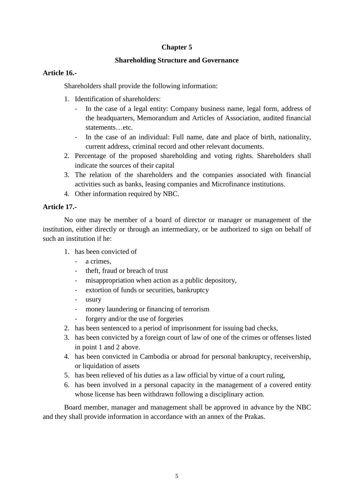# **Chapter 5**

# **Shareholding Structure and Governance**

# **Article 16.-**

Shareholders shall provide the following information:

- 1. Identification of shareholders:
	- In the case of a legal entity: Company business name, legal form, address of the headquarters, Memorandum and Articles of Association, audited financial statements…etc.
	- In the case of an individual: Full name, date and place of birth, nationality, current address, criminal record and other relevant documents.
- 2. Percentage of the proposed shareholding and voting rights. Shareholders shall indicate the sources of their capital
- 3. The relation of the shareholders and the companies associated with financial activities such as banks, leasing companies and Microfinance institutions.
- 4. Other information required by NBC.

## **Article 17.-**

No one may be member of a board of director or manager or management of the institution, either directly or through an intermediary, or be authorized to sign on behalf of such an institution if he:

- 1. has been convicted of
	- a crimes.
	- theft, fraud or breach of trust
	- misappropriation when action as a public depository,
	- extortion of funds or securities, bankruptcy
	- usury
	- money laundering or financing of terrorism
	- forgery and/or the use of forgeries
- 2. has been sentenced to a period of imprisonment for issuing bad checks,
- 3. has been convicted by a foreign court of law of one of the crimes or offenses listed in point 1 and 2 above.
- 4. has been convicted in Cambodia or abroad for personal bankruptcy, receivership, or liquidation of assets
- 5. has been relieved of his duties as a law official by virtue of a court ruling,
- 6. has been involved in a personal capacity in the management of a covered entity whose license has been withdrawn following a disciplinary action.

Board member, manager and management shall be approved in advance by the NBC and they shall provide information in accordance with an annex of the Prakas.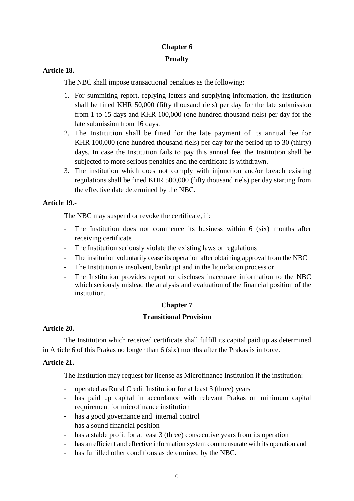# **Chapter 6 Penalty**

# **Article 18.-**

The NBC shall impose transactional penalties as the following:

- 1. For summiting report, replying letters and supplying information, the institution shall be fined KHR 50,000 (fifty thousand riels) per day for the late submission from 1 to 15 days and KHR 100,000 (one hundred thousand riels) per day for the late submission from 16 days.
- 2. The Institution shall be fined for the late payment of its annual fee for KHR 100,000 (one hundred thousand riels) per day for the period up to 30 (thirty) days. In case the Institution fails to pay this annual fee, the Institution shall be subjected to more serious penalties and the certificate is withdrawn.
- 3. The institution which does not comply with injunction and/or breach existing regulations shall be fined KHR 500,000 (fifty thousand riels) per day starting from the effective date determined by the NBC.

# **Article 19.-**

The NBC may suspend or revoke the certificate, if:

- The Institution does not commence its business within 6 (six) months after receiving certificate
- The Institution seriously violate the existing laws or regulations
- The institution voluntarily cease its operation after obtaining approval from the NBC
- The Institution is insolvent, bankrupt and in the liquidation process or
- The Institution provides report or discloses inaccurate information to the NBC which seriously mislead the analysis and evaluation of the financial position of the institution.

# **Chapter 7**

# **Transitional Provision**

# **Article 20.-**

The Institution which received certificate shall fulfill its capital paid up as determined in Article 6 of this Prakas no longer than 6 (six) months after the Prakas is in force.

# **Article 21.**-

The Institution may request for license as Microfinance Institution if the institution:

- operated as Rural Credit Institution for at least 3 (three) years
- has paid up capital in accordance with relevant Prakas on minimum capital requirement for microfinance institution
- has a good governance and internal control
- has a sound financial position
- has a stable profit for at least 3 (three) consecutive years from its operation
- has an efficient and effective information system commensurate with its operation and
- has fulfilled other conditions as determined by the NBC.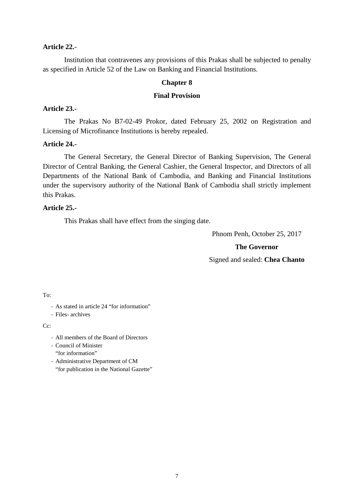#### **Article 22.**-

Institution that contravenes any provisions of this Prakas shall be subjected to penalty as specified in Article 52 of the Law on Banking and Financial Institutions.

### **Chapter 8**

#### **Final Provision**

## **Article 23.-**

The Prakas No B7-02-49 Prokor, dated February 25, 2002 on Registration and Licensing of Microfinance Institutions is hereby repealed.

### **Article 24.-**

The General Secretary, the General Director of Banking Supervision, The General Director of Central Banking, the General Cashier, the General Inspector, and Directors of all Departments of the National Bank of Cambodia, and Banking and Financial Institutions under the supervisory authority of the National Bank of Cambodia shall strictly implement this Prakas.

## **Article 25.-**

This Prakas shall have effect from the singing date.

Phnom Penh, October 25, 2017

#### **The Governor**

Signed and sealed: **Chea Chanto**

#### To:

- As stated in article 24 "for information"
- Files- archives

#### C<sub>c</sub>:

- All members of the Board of Directors
- Council of Minister "for information"
- Administrative Department of CM "for publication in the National Gazette"